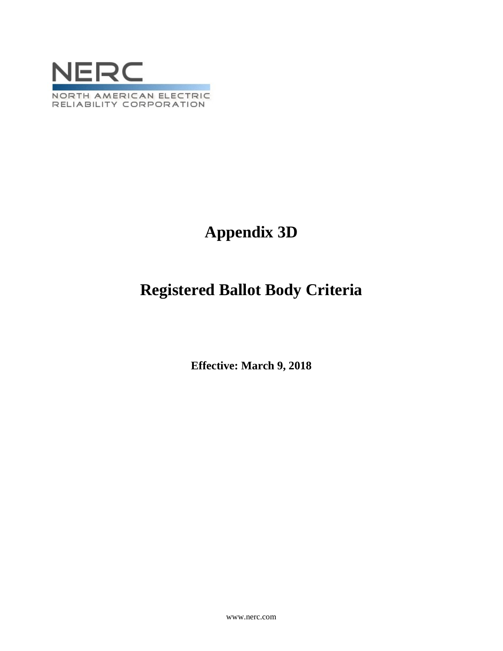

# **Appendix 3D**

# **Registered Ballot Body Criteria**

**Effective: March 9, 2018**

www.nerc.com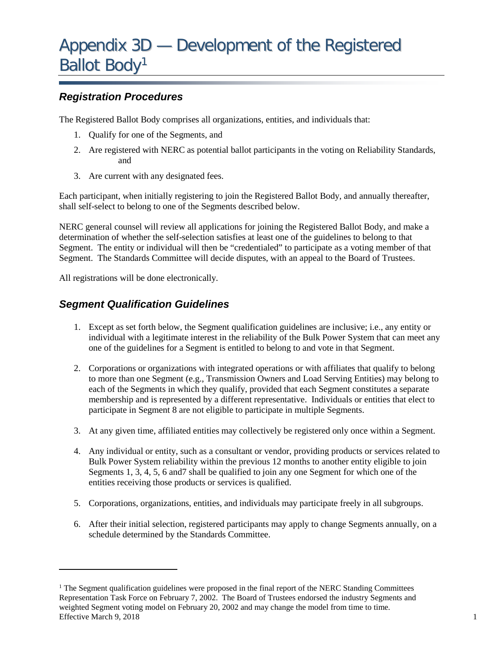## *Registration Procedures*

The Registered Ballot Body comprises all organizations, entities, and individuals that:

- 1. Qualify for one of the Segments, and
- 2. Are registered with NERC as potential ballot participants in the voting on Reliability Standards, and
- 3. Are current with any designated fees.

Each participant, when initially registering to join the Registered Ballot Body, and annually thereafter, shall self-select to belong to one of the Segments described below.

NERC general counsel will review all applications for joining the Registered Ballot Body, and make a determination of whether the self-selection satisfies at least one of the guidelines to belong to that Segment. The entity or individual will then be "credentialed" to participate as a voting member of that Segment. The Standards Committee will decide disputes, with an appeal to the Board of Trustees.

All registrations will be done electronically.

 $\overline{a}$ 

## *Segment Qualification Guidelines*

- 1. Except as set forth below, the Segment qualification guidelines are inclusive; i.e., any entity or individual with a legitimate interest in the reliability of the Bulk Power System that can meet any one of the guidelines for a Segment is entitled to belong to and vote in that Segment.
- 2. Corporations or organizations with integrated operations or with affiliates that qualify to belong to more than one Segment (e.g., Transmission Owners and Load Serving Entities) may belong to each of the Segments in which they qualify, provided that each Segment constitutes a separate membership and is represented by a different representative. Individuals or entities that elect to participate in Segment 8 are not eligible to participate in multiple Segments.
- 3. At any given time, affiliated entities may collectively be registered only once within a Segment.
- 4. Any individual or entity, such as a consultant or vendor, providing products or services related to Bulk Power System reliability within the previous 12 months to another entity eligible to join Segments 1, 3, 4, 5, 6 and7 shall be qualified to join any one Segment for which one of the entities receiving those products or services is qualified.
- 5. Corporations, organizations, entities, and individuals may participate freely in all subgroups.
- 6. After their initial selection, registered participants may apply to change Segments annually, on a schedule determined by the Standards Committee.

<span id="page-1-0"></span>Effective March 9, 2018 1  $<sup>1</sup>$  The Segment qualification guidelines were proposed in the final report of the NERC Standing Committees</sup> Representation Task Force on February 7, 2002. The Board of Trustees endorsed the industry Segments and weighted Segment voting model on February 20, 2002 and may change the model from time to time.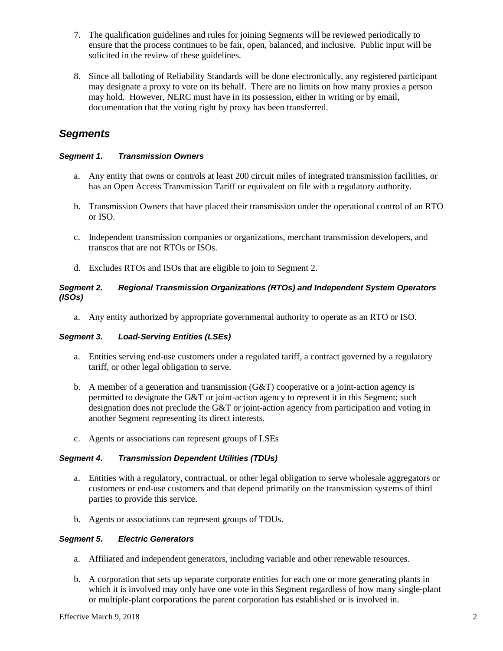- 7. The qualification guidelines and rules for joining Segments will be reviewed periodically to ensure that the process continues to be fair, open, balanced, and inclusive. Public input will be solicited in the review of these guidelines.
- 8. Since all balloting of Reliability Standards will be done electronically, any registered participant may designate a proxy to vote on its behalf. There are no limits on how many proxies a person may hold. However, NERC must have in its possession, either in writing or by email, documentation that the voting right by proxy has been transferred.

## *Segments*

### *Segment 1. Transmission Owners*

- a. Any entity that owns or controls at least 200 circuit miles of integrated transmission facilities, or has an Open Access Transmission Tariff or equivalent on file with a regulatory authority.
- b. Transmission Owners that have placed their transmission under the operational control of an RTO or ISO.
- c. Independent transmission companies or organizations, merchant transmission developers, and transcos that are not RTOs or ISOs.
- d. Excludes RTOs and ISOs that are eligible to join to Segment 2.

#### *Segment 2. Regional Transmission Organizations (RTOs) and Independent System Operators (ISOs)*

a. Any entity authorized by appropriate governmental authority to operate as an RTO or ISO.

#### *Segment 3. Load-Serving Entities (LSEs)*

- a. Entities serving end-use customers under a regulated tariff, a contract governed by a regulatory tariff, or other legal obligation to serve.
- b. A member of a generation and transmission  $(G&T)$  cooperative or a joint-action agency is permitted to designate the G&T or joint-action agency to represent it in this Segment; such designation does not preclude the G&T or joint-action agency from participation and voting in another Segment representing its direct interests.
- c. Agents or associations can represent groups of LSEs

#### *Segment 4. Transmission Dependent Utilities (TDUs)*

- a. Entities with a regulatory, contractual, or other legal obligation to serve wholesale aggregators or customers or end-use customers and that depend primarily on the transmission systems of third parties to provide this service.
- b. Agents or associations can represent groups of TDUs.

#### *Segment 5. Electric Generators*

- a. Affiliated and independent generators, including variable and other renewable resources.
- b. A corporation that sets up separate corporate entities for each one or more generating plants in which it is involved may only have one vote in this Segment regardless of how many single-plant or multiple-plant corporations the parent corporation has established or is involved in.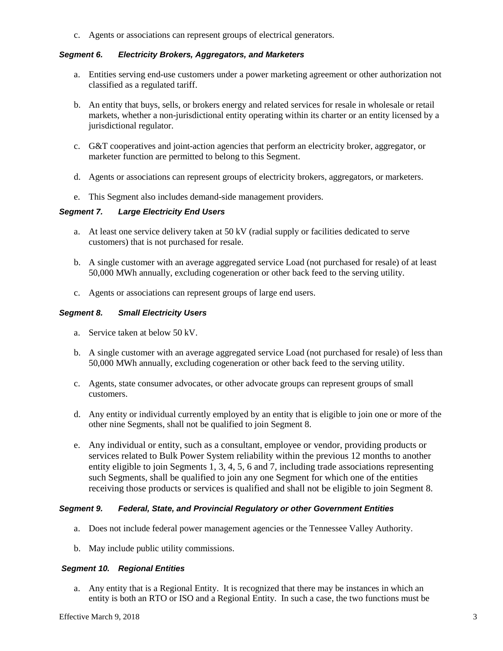c. Agents or associations can represent groups of electrical generators.

### *Segment 6. Electricity Brokers, Aggregators, and Marketers*

- a. Entities serving end-use customers under a power marketing agreement or other authorization not classified as a regulated tariff.
- b. An entity that buys, sells, or brokers energy and related services for resale in wholesale or retail markets, whether a non-jurisdictional entity operating within its charter or an entity licensed by a jurisdictional regulator.
- c. G&T cooperatives and joint-action agencies that perform an electricity broker, aggregator, or marketer function are permitted to belong to this Segment.
- d. Agents or associations can represent groups of electricity brokers, aggregators, or marketers.
- e. This Segment also includes demand-side management providers.

#### *Segment 7. Large Electricity End Users*

- a. At least one service delivery taken at 50 kV (radial supply or facilities dedicated to serve customers) that is not purchased for resale.
- b. A single customer with an average aggregated service Load (not purchased for resale) of at least 50,000 MWh annually, excluding cogeneration or other back feed to the serving utility.
- c. Agents or associations can represent groups of large end users.

#### *Segment 8. Small Electricity Users*

- a. Service taken at below 50 kV.
- b. A single customer with an average aggregated service Load (not purchased for resale) of less than 50,000 MWh annually, excluding cogeneration or other back feed to the serving utility.
- c. Agents, state consumer advocates, or other advocate groups can represent groups of small customers.
- d. Any entity or individual currently employed by an entity that is eligible to join one or more of the other nine Segments, shall not be qualified to join Segment 8.
- e. Any individual or entity, such as a consultant, employee or vendor, providing products or services related to Bulk Power System reliability within the previous 12 months to another entity eligible to join Segments 1, 3, 4, 5, 6 and 7, including trade associations representing such Segments, shall be qualified to join any one Segment for which one of the entities receiving those products or services is qualified and shall not be eligible to join Segment 8.

#### *Segment 9. Federal, State, and Provincial Regulatory or other Government Entities*

- a. Does not include federal power management agencies or the Tennessee Valley Authority.
- b. May include public utility commissions.

#### *Segment 10. Regional Entities*

a. Any entity that is a Regional Entity. It is recognized that there may be instances in which an entity is both an RTO or ISO and a Regional Entity. In such a case, the two functions must be